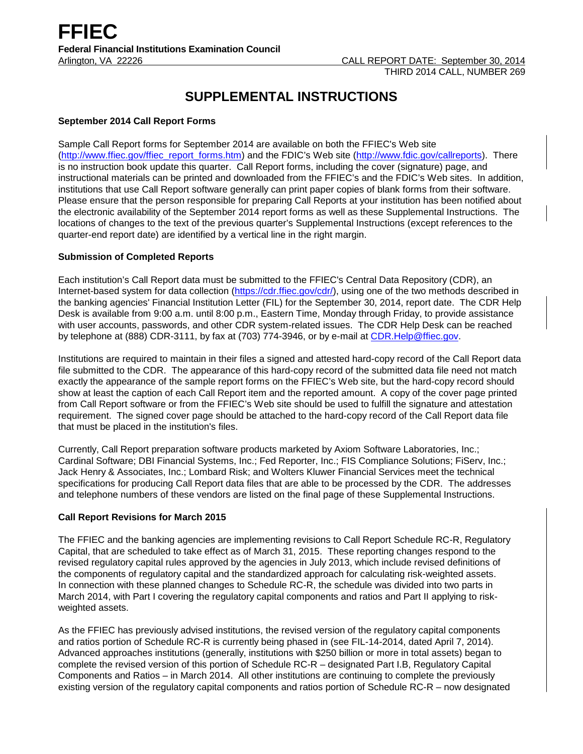# **SUPPLEMENTAL INSTRUCTIONS**

#### **September 2014 Call Report Forms**

Sample Call Report forms for September 2014 are available on both the FFIEC's Web site [\(http://www.ffiec.gov/ffiec\\_report\\_forms.htm\)](http://www.ffiec.gov/ffiec_report_forms.htm) and the FDIC's Web site [\(http://www.fdic.gov/callreports\)](http://www.fdic.gov/callreports). There is no instruction book update this quarter. Call Report forms, including the cover (signature) page, and instructional materials can be printed and downloaded from the FFIEC's and the FDIC's Web sites. In addition, institutions that use Call Report software generally can print paper copies of blank forms from their software. Please ensure that the person responsible for preparing Call Reports at your institution has been notified about the electronic availability of the September 2014 report forms as well as these Supplemental Instructions. The locations of changes to the text of the previous quarter's Supplemental Instructions (except references to the quarter-end report date) are identified by a vertical line in the right margin.

### **Submission of Completed Reports**

Each institution's Call Report data must be submitted to the FFIEC's Central Data Repository (CDR), an Internet-based system for data collection [\(https://cdr.ffiec.gov/cdr/\)](https://cdr.ffiec.gov/cdr/), using one of the two methods described in the banking agencies' Financial Institution Letter (FIL) for the September 30, 2014, report date. The CDR Help Desk is available from 9:00 a.m. until 8:00 p.m., Eastern Time, Monday through Friday, to provide assistance with user accounts, passwords, and other CDR system-related issues. The CDR Help Desk can be reached by telephone at (888) CDR-3111, by fax at (703) 774-3946, or by e-mail at [CDR.Help@ffiec.gov.](mailto:cdr.help@ffiec.gov)

Institutions are required to maintain in their files a signed and attested hard-copy record of the Call Report data file submitted to the CDR. The appearance of this hard-copy record of the submitted data file need not match exactly the appearance of the sample report forms on the FFIEC's Web site, but the hard-copy record should show at least the caption of each Call Report item and the reported amount. A copy of the cover page printed from Call Report software or from the FFIEC's Web site should be used to fulfill the signature and attestation requirement. The signed cover page should be attached to the hard-copy record of the Call Report data file that must be placed in the institution's files.

Currently, Call Report preparation software products marketed by Axiom Software Laboratories, Inc.; Cardinal Software; DBI Financial Systems, Inc.; Fed Reporter, Inc.; FIS Compliance Solutions; FiServ, Inc.; Jack Henry & Associates, Inc.; Lombard Risk; and Wolters Kluwer Financial Services meet the technical specifications for producing Call Report data files that are able to be processed by the CDR. The addresses and telephone numbers of these vendors are listed on the final page of these Supplemental Instructions.

#### **Call Report Revisions for March 2015**

The FFIEC and the banking agencies are implementing revisions to Call Report Schedule RC-R, Regulatory Capital, that are scheduled to take effect as of March 31, 2015. These reporting changes respond to the revised regulatory capital rules approved by the agencies in July 2013, which include revised definitions of the components of regulatory capital and the standardized approach for calculating risk-weighted assets. In connection with these planned changes to Schedule RC-R, the schedule was divided into two parts in March 2014, with Part I covering the regulatory capital components and ratios and Part II applying to riskweighted assets.

As the FFIEC has previously advised institutions, the revised version of the regulatory capital components and ratios portion of Schedule RC-R is currently being phased in (see FIL-14-2014, dated April 7, 2014). Advanced approaches institutions (generally, institutions with \$250 billion or more in total assets) began to complete the revised version of this portion of Schedule RC-R – designated Part I.B, Regulatory Capital Components and Ratios – in March 2014. All other institutions are continuing to complete the previously existing version of the regulatory capital components and ratios portion of Schedule RC-R – now designated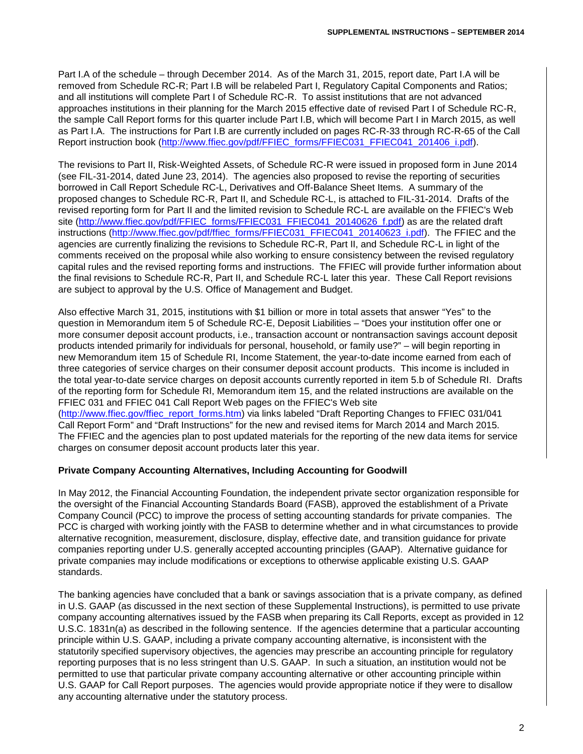Part I.A of the schedule – through December 2014. As of the March 31, 2015, report date, Part I.A will be removed from Schedule RC-R; Part I.B will be relabeled Part I, Regulatory Capital Components and Ratios; and all institutions will complete Part I of Schedule RC-R. To assist institutions that are not advanced approaches institutions in their planning for the March 2015 effective date of revised Part I of Schedule RC-R, the sample Call Report forms for this quarter include Part I.B, which will become Part I in March 2015, as well as Part I.A. The instructions for Part I.B are currently included on pages RC-R-33 through RC-R-65 of the Call Report instruction book [\(http://www.ffiec.gov/pdf/FFIEC\\_forms/FFIEC031\\_FFIEC041\\_201406\\_i.pdf\)](http://www.ffiec.gov/pdf/FFIEC_forms/FFIEC031_FFIEC041_201406_i.pdf).

The revisions to Part II, Risk-Weighted Assets, of Schedule RC-R were issued in proposed form in June 2014 (see FIL-31-2014, dated June 23, 2014). The agencies also proposed to revise the reporting of securities borrowed in Call Report Schedule RC-L, Derivatives and Off-Balance Sheet Items. A summary of the proposed changes to Schedule RC-R, Part II, and Schedule RC-L, is attached to FIL-31-2014. Drafts of the revised reporting form for Part II and the limited revision to Schedule RC-L are available on the FFIEC's Web site [\(http://www.ffiec.gov/pdf/FFIEC\\_forms/FFIEC031\\_FFIEC041\\_20140626\\_f.pdf\)](http://www.ffiec.gov/pdf/FFIEC_forms/FFIEC031_FFIEC041_20140626_f.pdf) as are the related draft instructions [\(http://www.ffiec.gov/pdf/ffiec\\_forms/FFIEC031\\_FFIEC041\\_20140623\\_i.pdf\)](http://www.ffiec.gov/pdf/ffiec_forms/FFIEC031_FFIEC041_20140623_i.pdf). The FFIEC and the agencies are currently finalizing the revisions to Schedule RC-R, Part II, and Schedule RC-L in light of the comments received on the proposal while also working to ensure consistency between the revised regulatory capital rules and the revised reporting forms and instructions. The FFIEC will provide further information about the final revisions to Schedule RC-R, Part II, and Schedule RC-L later this year. These Call Report revisions are subject to approval by the U.S. Office of Management and Budget.

Also effective March 31, 2015, institutions with \$1 billion or more in total assets that answer "Yes" to the question in Memorandum item 5 of Schedule RC-E, Deposit Liabilities – "Does your institution offer one or more consumer deposit account products, i.e., transaction account or nontransaction savings account deposit products intended primarily for individuals for personal, household, or family use?" – will begin reporting in new Memorandum item 15 of Schedule RI, Income Statement, the year-to-date income earned from each of three categories of service charges on their consumer deposit account products. This income is included in the total year-to-date service charges on deposit accounts currently reported in item 5.b of Schedule RI. Drafts of the reporting form for Schedule RI, Memorandum item 15, and the related instructions are available on the FFIEC 031 and FFIEC 041 Call Report Web pages on the FFIEC's Web site [\(http://www.ffiec.gov/ffiec\\_report\\_forms.htm\)](http://www.ffiec.gov/ffiec_report_forms.htm) via links labeled "Draft Reporting Changes to FFIEC 031/041 Call Report Form" and "Draft Instructions" for the new and revised items for March 2014 and March 2015. The FFIEC and the agencies plan to post updated materials for the reporting of the new data items for service charges on consumer deposit account products later this year.

#### **Private Company Accounting Alternatives, Including Accounting for Goodwill**

In May 2012, the Financial Accounting Foundation, the independent private sector organization responsible for the oversight of the Financial Accounting Standards Board (FASB), approved the establishment of a Private Company Council (PCC) to improve the process of setting accounting standards for private companies. The PCC is charged with working jointly with the FASB to determine whether and in what circumstances to provide alternative recognition, measurement, disclosure, display, effective date, and transition guidance for private companies reporting under U.S. generally accepted accounting principles (GAAP). Alternative guidance for private companies may include modifications or exceptions to otherwise applicable existing U.S. GAAP standards.

The banking agencies have concluded that a bank or savings association that is a private company, as defined in U.S. GAAP (as discussed in the next section of these Supplemental Instructions), is permitted to use private company accounting alternatives issued by the FASB when preparing its Call Reports, except as provided in 12 U.S.C. 1831n(a) as described in the following sentence. If the agencies determine that a particular accounting principle within U.S. GAAP, including a private company accounting alternative, is inconsistent with the statutorily specified supervisory objectives, the agencies may prescribe an accounting principle for regulatory reporting purposes that is no less stringent than U.S. GAAP. In such a situation, an institution would not be permitted to use that particular private company accounting alternative or other accounting principle within U.S. GAAP for Call Report purposes. The agencies would provide appropriate notice if they were to disallow any accounting alternative under the statutory process.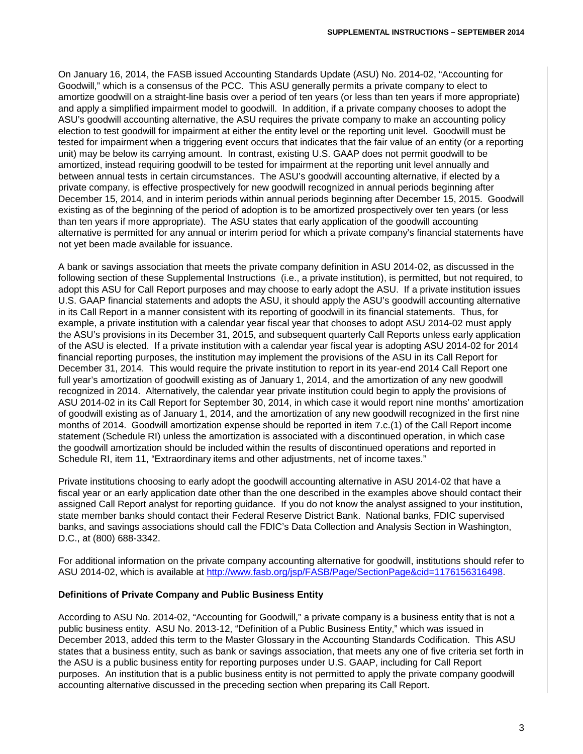On January 16, 2014, the FASB issued Accounting Standards Update (ASU) No. 2014-02, "Accounting for Goodwill," which is a consensus of the PCC. This ASU generally permits a private company to elect to amortize goodwill on a straight-line basis over a period of ten years (or less than ten years if more appropriate) and apply a simplified impairment model to goodwill. In addition, if a private company chooses to adopt the ASU's goodwill accounting alternative, the ASU requires the private company to make an accounting policy election to test goodwill for impairment at either the entity level or the reporting unit level. Goodwill must be tested for impairment when a triggering event occurs that indicates that the fair value of an entity (or a reporting unit) may be below its carrying amount. In contrast, existing U.S. GAAP does not permit goodwill to be amortized, instead requiring goodwill to be tested for impairment at the reporting unit level annually and between annual tests in certain circumstances. The ASU's goodwill accounting alternative, if elected by a private company, is effective prospectively for new goodwill recognized in annual periods beginning after December 15, 2014, and in interim periods within annual periods beginning after December 15, 2015. Goodwill existing as of the beginning of the period of adoption is to be amortized prospectively over ten years (or less than ten years if more appropriate). The ASU states that early application of the goodwill accounting alternative is permitted for any annual or interim period for which a private company's financial statements have not yet been made available for issuance.

A bank or savings association that meets the private company definition in ASU 2014-02, as discussed in the following section of these Supplemental Instructions (i.e., a private institution), is permitted, but not required, to adopt this ASU for Call Report purposes and may choose to early adopt the ASU. If a private institution issues U.S. GAAP financial statements and adopts the ASU, it should apply the ASU's goodwill accounting alternative in its Call Report in a manner consistent with its reporting of goodwill in its financial statements. Thus, for example, a private institution with a calendar year fiscal year that chooses to adopt ASU 2014-02 must apply the ASU's provisions in its December 31, 2015, and subsequent quarterly Call Reports unless early application of the ASU is elected. If a private institution with a calendar year fiscal year is adopting ASU 2014-02 for 2014 financial reporting purposes, the institution may implement the provisions of the ASU in its Call Report for December 31, 2014. This would require the private institution to report in its year-end 2014 Call Report one full year's amortization of goodwill existing as of January 1, 2014, and the amortization of any new goodwill recognized in 2014. Alternatively, the calendar year private institution could begin to apply the provisions of ASU 2014-02 in its Call Report for September 30, 2014, in which case it would report nine months' amortization of goodwill existing as of January 1, 2014, and the amortization of any new goodwill recognized in the first nine months of 2014. Goodwill amortization expense should be reported in item 7.c.(1) of the Call Report income statement (Schedule RI) unless the amortization is associated with a discontinued operation, in which case the goodwill amortization should be included within the results of discontinued operations and reported in Schedule RI, item 11, "Extraordinary items and other adjustments, net of income taxes."

Private institutions choosing to early adopt the goodwill accounting alternative in ASU 2014-02 that have a fiscal year or an early application date other than the one described in the examples above should contact their assigned Call Report analyst for reporting guidance. If you do not know the analyst assigned to your institution, state member banks should contact their Federal Reserve District Bank. National banks, FDIC supervised banks, and savings associations should call the FDIC's Data Collection and Analysis Section in Washington, D.C., at (800) 688-3342.

For additional information on the private company accounting alternative for goodwill, institutions should refer to ASU 2014-02, which is available at [http://www.fasb.org/jsp/FASB/Page/SectionPage&cid=1176156316498.](http://www.fasb.org/jsp/FASB/Page/SectionPage&cid=1176156316498)

#### **Definitions of Private Company and Public Business Entity**

According to ASU No. 2014-02, "Accounting for Goodwill," a private company is a business entity that is not a public business entity. ASU No. 2013-12, "Definition of a Public Business Entity," which was issued in December 2013, added this term to the Master Glossary in the Accounting Standards Codification. This ASU states that a business entity, such as bank or savings association, that meets any one of five criteria set forth in the ASU is a public business entity for reporting purposes under U.S. GAAP, including for Call Report purposes. An institution that is a public business entity is not permitted to apply the private company goodwill accounting alternative discussed in the preceding section when preparing its Call Report.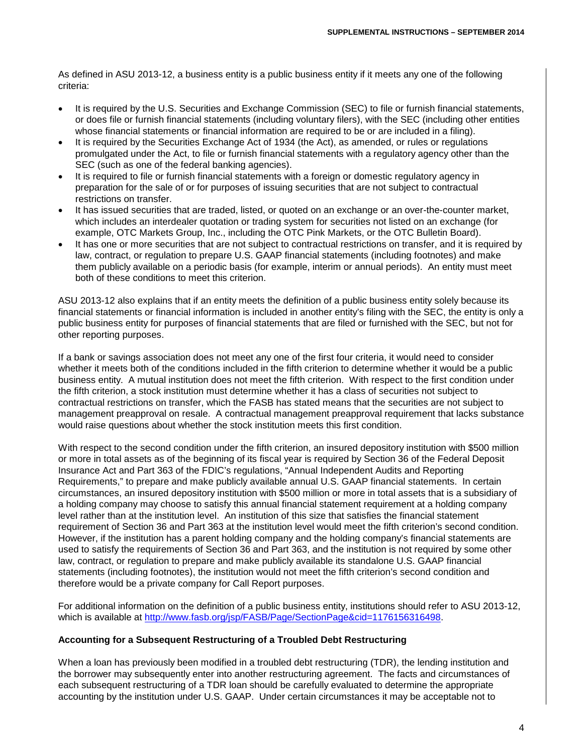As defined in ASU 2013-12, a business entity is a public business entity if it meets any one of the following criteria:

- It is required by the U.S. Securities and Exchange Commission (SEC) to file or furnish financial statements, or does file or furnish financial statements (including voluntary filers), with the SEC (including other entities whose financial statements or financial information are required to be or are included in a filing).
- It is required by the Securities Exchange Act of 1934 (the Act), as amended, or rules or regulations promulgated under the Act, to file or furnish financial statements with a regulatory agency other than the SEC (such as one of the federal banking agencies).
- It is required to file or furnish financial statements with a foreign or domestic regulatory agency in preparation for the sale of or for purposes of issuing securities that are not subject to contractual restrictions on transfer.
- It has issued securities that are traded, listed, or quoted on an exchange or an over-the-counter market, which includes an interdealer quotation or trading system for securities not listed on an exchange (for example, OTC Markets Group, Inc., including the OTC Pink Markets, or the OTC Bulletin Board).
- It has one or more securities that are not subject to contractual restrictions on transfer, and it is required by law, contract, or regulation to prepare U.S. GAAP financial statements (including footnotes) and make them publicly available on a periodic basis (for example, interim or annual periods). An entity must meet both of these conditions to meet this criterion.

ASU 2013-12 also explains that if an entity meets the definition of a public business entity solely because its financial statements or financial information is included in another entity's filing with the SEC, the entity is only a public business entity for purposes of financial statements that are filed or furnished with the SEC, but not for other reporting purposes.

If a bank or savings association does not meet any one of the first four criteria, it would need to consider whether it meets both of the conditions included in the fifth criterion to determine whether it would be a public business entity. A mutual institution does not meet the fifth criterion. With respect to the first condition under the fifth criterion, a stock institution must determine whether it has a class of securities not subject to contractual restrictions on transfer, which the FASB has stated means that the securities are not subject to management preapproval on resale. A contractual management preapproval requirement that lacks substance would raise questions about whether the stock institution meets this first condition.

With respect to the second condition under the fifth criterion, an insured depository institution with \$500 million or more in total assets as of the beginning of its fiscal year is required by Section 36 of the Federal Deposit Insurance Act and Part 363 of the FDIC's regulations, "Annual Independent Audits and Reporting Requirements," to prepare and make publicly available annual U.S. GAAP financial statements. In certain circumstances, an insured depository institution with \$500 million or more in total assets that is a subsidiary of a holding company may choose to satisfy this annual financial statement requirement at a holding company level rather than at the institution level. An institution of this size that satisfies the financial statement requirement of Section 36 and Part 363 at the institution level would meet the fifth criterion's second condition. However, if the institution has a parent holding company and the holding company's financial statements are used to satisfy the requirements of Section 36 and Part 363, and the institution is not required by some other law, contract, or regulation to prepare and make publicly available its standalone U.S. GAAP financial statements (including footnotes), the institution would not meet the fifth criterion's second condition and therefore would be a private company for Call Report purposes.

For additional information on the definition of a public business entity, institutions should refer to ASU 2013-12, which is available at [http://www.fasb.org/jsp/FASB/Page/SectionPage&cid=1176156316498.](http://www.fasb.org/jsp/FASB/Page/SectionPage&cid=1176156316498)

#### **Accounting for a Subsequent Restructuring of a Troubled Debt Restructuring**

When a loan has previously been modified in a troubled debt restructuring (TDR), the lending institution and the borrower may subsequently enter into another restructuring agreement. The facts and circumstances of each subsequent restructuring of a TDR loan should be carefully evaluated to determine the appropriate accounting by the institution under U.S. GAAP. Under certain circumstances it may be acceptable not to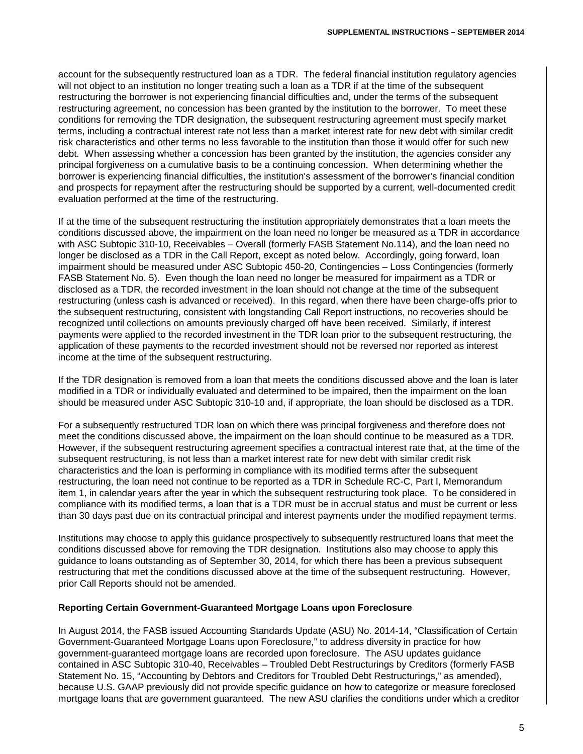account for the subsequently restructured loan as a TDR. The federal financial institution regulatory agencies will not object to an institution no longer treating such a loan as a TDR if at the time of the subsequent restructuring the borrower is not experiencing financial difficulties and, under the terms of the subsequent restructuring agreement, no concession has been granted by the institution to the borrower. To meet these conditions for removing the TDR designation, the subsequent restructuring agreement must specify market terms, including a contractual interest rate not less than a market interest rate for new debt with similar credit risk characteristics and other terms no less favorable to the institution than those it would offer for such new debt. When assessing whether a concession has been granted by the institution, the agencies consider any principal forgiveness on a cumulative basis to be a continuing concession. When determining whether the borrower is experiencing financial difficulties, the institution's assessment of the borrower's financial condition and prospects for repayment after the restructuring should be supported by a current, well-documented credit evaluation performed at the time of the restructuring.

If at the time of the subsequent restructuring the institution appropriately demonstrates that a loan meets the conditions discussed above, the impairment on the loan need no longer be measured as a TDR in accordance with ASC Subtopic 310-10, Receivables – Overall (formerly FASB Statement No.114), and the loan need no longer be disclosed as a TDR in the Call Report, except as noted below. Accordingly, going forward, loan impairment should be measured under ASC Subtopic 450-20, Contingencies – Loss Contingencies (formerly FASB Statement No. 5). Even though the loan need no longer be measured for impairment as a TDR or disclosed as a TDR, the recorded investment in the loan should not change at the time of the subsequent restructuring (unless cash is advanced or received). In this regard, when there have been charge-offs prior to the subsequent restructuring, consistent with longstanding Call Report instructions, no recoveries should be recognized until collections on amounts previously charged off have been received. Similarly, if interest payments were applied to the recorded investment in the TDR loan prior to the subsequent restructuring, the application of these payments to the recorded investment should not be reversed nor reported as interest income at the time of the subsequent restructuring.

If the TDR designation is removed from a loan that meets the conditions discussed above and the loan is later modified in a TDR or individually evaluated and determined to be impaired, then the impairment on the loan should be measured under ASC Subtopic 310-10 and, if appropriate, the loan should be disclosed as a TDR.

For a subsequently restructured TDR loan on which there was principal forgiveness and therefore does not meet the conditions discussed above, the impairment on the loan should continue to be measured as a TDR. However, if the subsequent restructuring agreement specifies a contractual interest rate that, at the time of the subsequent restructuring, is not less than a market interest rate for new debt with similar credit risk characteristics and the loan is performing in compliance with its modified terms after the subsequent restructuring, the loan need not continue to be reported as a TDR in Schedule RC-C, Part I, Memorandum item 1, in calendar years after the year in which the subsequent restructuring took place. To be considered in compliance with its modified terms, a loan that is a TDR must be in accrual status and must be current or less than 30 days past due on its contractual principal and interest payments under the modified repayment terms.

Institutions may choose to apply this guidance prospectively to subsequently restructured loans that meet the conditions discussed above for removing the TDR designation. Institutions also may choose to apply this guidance to loans outstanding as of September 30, 2014, for which there has been a previous subsequent restructuring that met the conditions discussed above at the time of the subsequent restructuring. However, prior Call Reports should not be amended.

#### **Reporting Certain Government-Guaranteed Mortgage Loans upon Foreclosure**

In August 2014, the FASB issued Accounting Standards Update (ASU) No. 2014-14, "Classification of Certain Government-Guaranteed Mortgage Loans upon Foreclosure," to address diversity in practice for how government-guaranteed mortgage loans are recorded upon foreclosure. The ASU updates guidance contained in ASC Subtopic 310-40, Receivables – Troubled Debt Restructurings by Creditors (formerly FASB Statement No. 15, "Accounting by Debtors and Creditors for Troubled Debt Restructurings," as amended), because U.S. GAAP previously did not provide specific guidance on how to categorize or measure foreclosed mortgage loans that are government guaranteed. The new ASU clarifies the conditions under which a creditor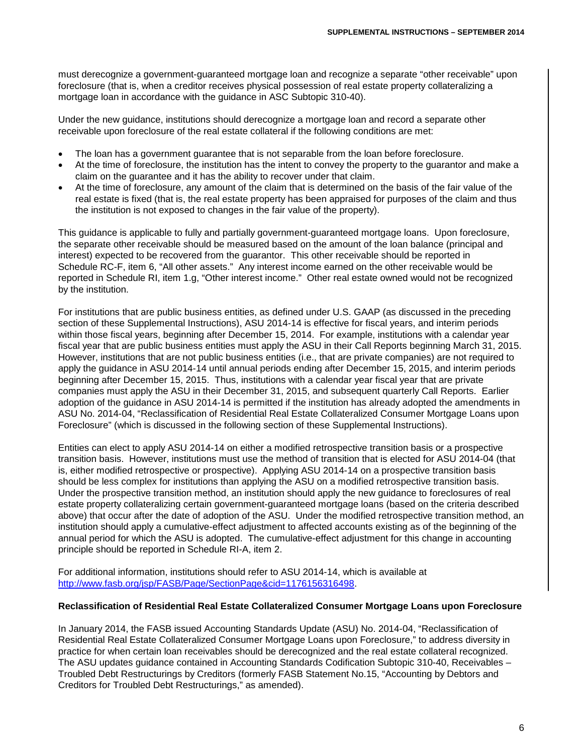must derecognize a government-guaranteed mortgage loan and recognize a separate "other receivable" upon foreclosure (that is, when a creditor receives physical possession of real estate property collateralizing a mortgage loan in accordance with the guidance in ASC Subtopic 310-40).

Under the new guidance, institutions should derecognize a mortgage loan and record a separate other receivable upon foreclosure of the real estate collateral if the following conditions are met:

- The loan has a government guarantee that is not separable from the loan before foreclosure.
- At the time of foreclosure, the institution has the intent to convey the property to the guarantor and make a claim on the guarantee and it has the ability to recover under that claim.
- At the time of foreclosure, any amount of the claim that is determined on the basis of the fair value of the real estate is fixed (that is, the real estate property has been appraised for purposes of the claim and thus the institution is not exposed to changes in the fair value of the property).

This guidance is applicable to fully and partially government-guaranteed mortgage loans. Upon foreclosure, the separate other receivable should be measured based on the amount of the loan balance (principal and interest) expected to be recovered from the guarantor. This other receivable should be reported in Schedule RC-F, item 6, "All other assets." Any interest income earned on the other receivable would be reported in Schedule RI, item 1.g, "Other interest income." Other real estate owned would not be recognized by the institution.

For institutions that are public business entities, as defined under U.S. GAAP (as discussed in the preceding section of these Supplemental Instructions), ASU 2014-14 is effective for fiscal years, and interim periods within those fiscal years, beginning after December 15, 2014. For example, institutions with a calendar year fiscal year that are public business entities must apply the ASU in their Call Reports beginning March 31, 2015. However, institutions that are not public business entities (i.e., that are private companies) are not required to apply the guidance in ASU 2014-14 until annual periods ending after December 15, 2015, and interim periods beginning after December 15, 2015. Thus, institutions with a calendar year fiscal year that are private companies must apply the ASU in their December 31, 2015, and subsequent quarterly Call Reports. Earlier adoption of the guidance in ASU 2014-14 is permitted if the institution has already adopted the amendments in ASU No. 2014-04, "Reclassification of Residential Real Estate Collateralized Consumer Mortgage Loans upon Foreclosure" (which is discussed in the following section of these Supplemental Instructions).

Entities can elect to apply ASU 2014-14 on either a modified retrospective transition basis or a prospective transition basis. However, institutions must use the method of transition that is elected for ASU 2014-04 (that is, either modified retrospective or prospective). Applying ASU 2014-14 on a prospective transition basis should be less complex for institutions than applying the ASU on a modified retrospective transition basis. Under the prospective transition method, an institution should apply the new guidance to foreclosures of real estate property collateralizing certain government-guaranteed mortgage loans (based on the criteria described above) that occur after the date of adoption of the ASU. Under the modified retrospective transition method, an institution should apply a cumulative-effect adjustment to affected accounts existing as of the beginning of the annual period for which the ASU is adopted. The cumulative-effect adjustment for this change in accounting principle should be reported in Schedule RI-A, item 2.

For additional information, institutions should refer to ASU 2014-14, which is available at http://www.fasb.org/isp/FASB/Page/SectionPage&cid=1176156316498.

#### **Reclassification of Residential Real Estate Collateralized Consumer Mortgage Loans upon Foreclosure**

In January 2014, the FASB issued Accounting Standards Update (ASU) No. 2014-04, "Reclassification of Residential Real Estate Collateralized Consumer Mortgage Loans upon Foreclosure," to address diversity in practice for when certain loan receivables should be derecognized and the real estate collateral recognized. The ASU updates guidance contained in Accounting Standards Codification Subtopic 310-40, Receivables – Troubled Debt Restructurings by Creditors (formerly FASB Statement No.15, "Accounting by Debtors and Creditors for Troubled Debt Restructurings," as amended).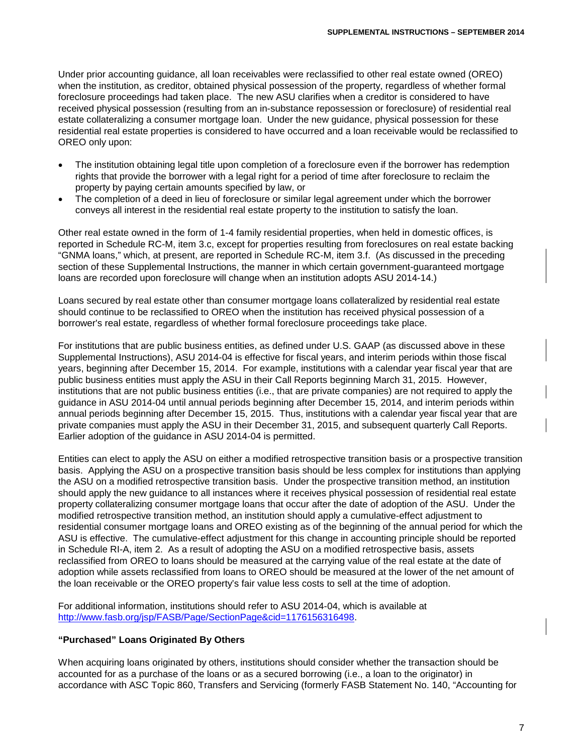Under prior accounting guidance, all loan receivables were reclassified to other real estate owned (OREO) when the institution, as creditor, obtained physical possession of the property, regardless of whether formal foreclosure proceedings had taken place. The new ASU clarifies when a creditor is considered to have received physical possession (resulting from an in-substance repossession or foreclosure) of residential real estate collateralizing a consumer mortgage loan. Under the new guidance, physical possession for these residential real estate properties is considered to have occurred and a loan receivable would be reclassified to OREO only upon:

- The institution obtaining legal title upon completion of a foreclosure even if the borrower has redemption rights that provide the borrower with a legal right for a period of time after foreclosure to reclaim the property by paying certain amounts specified by law, or
- The completion of a deed in lieu of foreclosure or similar legal agreement under which the borrower conveys all interest in the residential real estate property to the institution to satisfy the loan.

Other real estate owned in the form of 1-4 family residential properties, when held in domestic offices, is reported in Schedule RC-M, item 3.c, except for properties resulting from foreclosures on real estate backing "GNMA loans," which, at present, are reported in Schedule RC-M, item 3.f. (As discussed in the preceding section of these Supplemental Instructions, the manner in which certain government-guaranteed mortgage loans are recorded upon foreclosure will change when an institution adopts ASU 2014-14.)

Loans secured by real estate other than consumer mortgage loans collateralized by residential real estate should continue to be reclassified to OREO when the institution has received physical possession of a borrower's real estate, regardless of whether formal foreclosure proceedings take place.

For institutions that are public business entities, as defined under U.S. GAAP (as discussed above in these Supplemental Instructions), ASU 2014-04 is effective for fiscal years, and interim periods within those fiscal years, beginning after December 15, 2014. For example, institutions with a calendar year fiscal year that are public business entities must apply the ASU in their Call Reports beginning March 31, 2015. However, institutions that are not public business entities (i.e., that are private companies) are not required to apply the guidance in ASU 2014-04 until annual periods beginning after December 15, 2014, and interim periods within annual periods beginning after December 15, 2015. Thus, institutions with a calendar year fiscal year that are private companies must apply the ASU in their December 31, 2015, and subsequent quarterly Call Reports. Earlier adoption of the guidance in ASU 2014-04 is permitted.

Entities can elect to apply the ASU on either a modified retrospective transition basis or a prospective transition basis. Applying the ASU on a prospective transition basis should be less complex for institutions than applying the ASU on a modified retrospective transition basis. Under the prospective transition method, an institution should apply the new guidance to all instances where it receives physical possession of residential real estate property collateralizing consumer mortgage loans that occur after the date of adoption of the ASU. Under the modified retrospective transition method, an institution should apply a cumulative-effect adjustment to residential consumer mortgage loans and OREO existing as of the beginning of the annual period for which the ASU is effective. The cumulative-effect adjustment for this change in accounting principle should be reported in Schedule RI-A, item 2. As a result of adopting the ASU on a modified retrospective basis, assets reclassified from OREO to loans should be measured at the carrying value of the real estate at the date of adoption while assets reclassified from loans to OREO should be measured at the lower of the net amount of the loan receivable or the OREO property's fair value less costs to sell at the time of adoption.

For additional information, institutions should refer to ASU 2014-04, which is available at [http://www.fasb.org/jsp/FASB/Page/SectionPage&cid=1176156316498.](http://www.fasb.org/jsp/FASB/Page/SectionPage&cid=1176156316498)

## **"Purchased" Loans Originated By Others**

When acquiring loans originated by others, institutions should consider whether the transaction should be accounted for as a purchase of the loans or as a secured borrowing (i.e., a loan to the originator) in accordance with ASC Topic 860, Transfers and Servicing (formerly FASB Statement No. 140, "Accounting for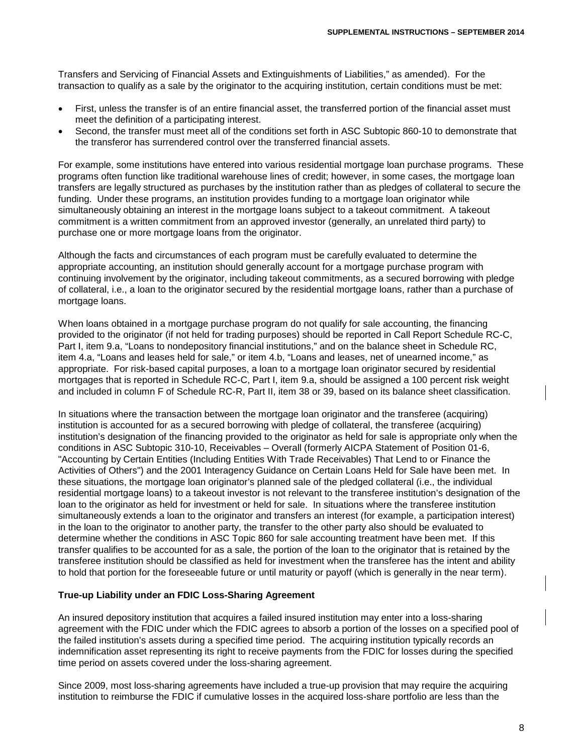Transfers and Servicing of Financial Assets and Extinguishments of Liabilities," as amended). For the transaction to qualify as a sale by the originator to the acquiring institution, certain conditions must be met:

- First, unless the transfer is of an entire financial asset, the transferred portion of the financial asset must meet the definition of a participating interest.
- Second, the transfer must meet all of the conditions set forth in ASC Subtopic 860-10 to demonstrate that the transferor has surrendered control over the transferred financial assets.

For example, some institutions have entered into various residential mortgage loan purchase programs. These programs often function like traditional warehouse lines of credit; however, in some cases, the mortgage loan transfers are legally structured as purchases by the institution rather than as pledges of collateral to secure the funding. Under these programs, an institution provides funding to a mortgage loan originator while simultaneously obtaining an interest in the mortgage loans subject to a takeout commitment. A takeout commitment is a written commitment from an approved investor (generally, an unrelated third party) to purchase one or more mortgage loans from the originator.

Although the facts and circumstances of each program must be carefully evaluated to determine the appropriate accounting, an institution should generally account for a mortgage purchase program with continuing involvement by the originator, including takeout commitments, as a secured borrowing with pledge of collateral, i.e., a loan to the originator secured by the residential mortgage loans, rather than a purchase of mortgage loans.

When loans obtained in a mortgage purchase program do not qualify for sale accounting, the financing provided to the originator (if not held for trading purposes) should be reported in Call Report Schedule RC-C, Part I, item 9.a, "Loans to nondepository financial institutions," and on the balance sheet in Schedule RC, item 4.a, "Loans and leases held for sale," or item 4.b, "Loans and leases, net of unearned income," as appropriate. For risk-based capital purposes, a loan to a mortgage loan originator secured by residential mortgages that is reported in Schedule RC-C, Part I, item 9.a, should be assigned a 100 percent risk weight and included in column F of Schedule RC-R, Part II, item 38 or 39, based on its balance sheet classification.

In situations where the transaction between the mortgage loan originator and the transferee (acquiring) institution is accounted for as a secured borrowing with pledge of collateral, the transferee (acquiring) institution's designation of the financing provided to the originator as held for sale is appropriate only when the conditions in ASC Subtopic 310-10, Receivables – Overall (formerly AICPA Statement of Position 01-6, "Accounting by Certain Entities (Including Entities With Trade Receivables) That Lend to or Finance the Activities of Others") and the 2001 Interagency Guidance on Certain Loans Held for Sale have been met. In these situations, the mortgage loan originator's planned sale of the pledged collateral (i.e., the individual residential mortgage loans) to a takeout investor is not relevant to the transferee institution's designation of the loan to the originator as held for investment or held for sale. In situations where the transferee institution simultaneously extends a loan to the originator and transfers an interest (for example, a participation interest) in the loan to the originator to another party, the transfer to the other party also should be evaluated to determine whether the conditions in ASC Topic 860 for sale accounting treatment have been met. If this transfer qualifies to be accounted for as a sale, the portion of the loan to the originator that is retained by the transferee institution should be classified as held for investment when the transferee has the intent and ability to hold that portion for the foreseeable future or until maturity or payoff (which is generally in the near term).

#### **True-up Liability under an FDIC Loss-Sharing Agreement**

An insured depository institution that acquires a failed insured institution may enter into a loss-sharing agreement with the FDIC under which the FDIC agrees to absorb a portion of the losses on a specified pool of the failed institution's assets during a specified time period. The acquiring institution typically records an indemnification asset representing its right to receive payments from the FDIC for losses during the specified time period on assets covered under the loss-sharing agreement.

Since 2009, most loss-sharing agreements have included a true-up provision that may require the acquiring institution to reimburse the FDIC if cumulative losses in the acquired loss-share portfolio are less than the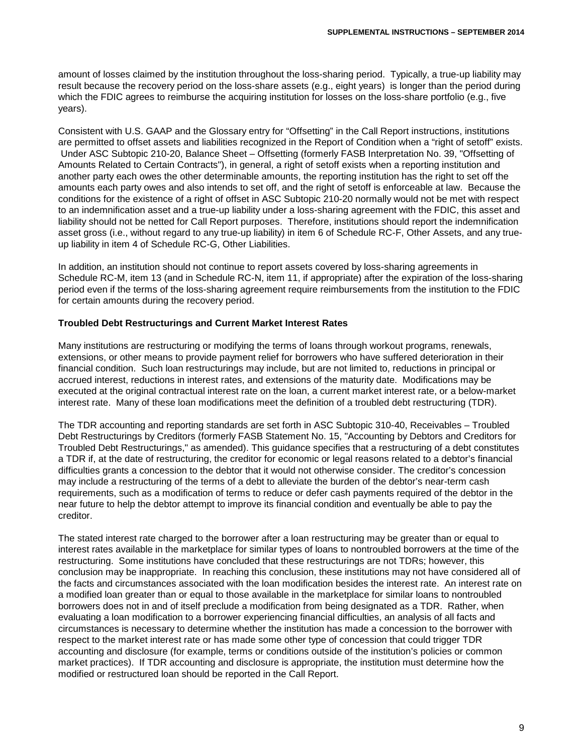amount of losses claimed by the institution throughout the loss-sharing period. Typically, a true-up liability may result because the recovery period on the loss-share assets (e.g., eight years) is longer than the period during which the FDIC agrees to reimburse the acquiring institution for losses on the loss-share portfolio (e.g., five years).

Consistent with U.S. GAAP and the Glossary entry for "Offsetting" in the Call Report instructions, institutions are permitted to offset assets and liabilities recognized in the Report of Condition when a "right of setoff" exists. Under ASC Subtopic 210-20, Balance Sheet – Offsetting (formerly FASB Interpretation No. 39, "Offsetting of Amounts Related to Certain Contracts"), in general, a right of setoff exists when a reporting institution and another party each owes the other determinable amounts, the reporting institution has the right to set off the amounts each party owes and also intends to set off, and the right of setoff is enforceable at law. Because the conditions for the existence of a right of offset in ASC Subtopic 210-20 normally would not be met with respect to an indemnification asset and a true-up liability under a loss-sharing agreement with the FDIC, this asset and liability should not be netted for Call Report purposes. Therefore, institutions should report the indemnification asset gross (i.e., without regard to any true-up liability) in item 6 of Schedule RC-F, Other Assets, and any trueup liability in item 4 of Schedule RC-G, Other Liabilities.

In addition, an institution should not continue to report assets covered by loss-sharing agreements in Schedule RC-M, item 13 (and in Schedule RC-N, item 11, if appropriate) after the expiration of the loss-sharing period even if the terms of the loss-sharing agreement require reimbursements from the institution to the FDIC for certain amounts during the recovery period.

#### **Troubled Debt Restructurings and Current Market Interest Rates**

Many institutions are restructuring or modifying the terms of loans through workout programs, renewals, extensions, or other means to provide payment relief for borrowers who have suffered deterioration in their financial condition. Such loan restructurings may include, but are not limited to, reductions in principal or accrued interest, reductions in interest rates, and extensions of the maturity date. Modifications may be executed at the original contractual interest rate on the loan, a current market interest rate, or a below-market interest rate. Many of these loan modifications meet the definition of a troubled debt restructuring (TDR).

The TDR accounting and reporting standards are set forth in ASC Subtopic 310-40, Receivables – Troubled Debt Restructurings by Creditors (formerly FASB Statement No. 15, "Accounting by Debtors and Creditors for Troubled Debt Restructurings," as amended). This guidance specifies that a restructuring of a debt constitutes a TDR if, at the date of restructuring, the creditor for economic or legal reasons related to a debtor's financial difficulties grants a concession to the debtor that it would not otherwise consider. The creditor's concession may include a restructuring of the terms of a debt to alleviate the burden of the debtor's near-term cash requirements, such as a modification of terms to reduce or defer cash payments required of the debtor in the near future to help the debtor attempt to improve its financial condition and eventually be able to pay the creditor.

The stated interest rate charged to the borrower after a loan restructuring may be greater than or equal to interest rates available in the marketplace for similar types of loans to nontroubled borrowers at the time of the restructuring. Some institutions have concluded that these restructurings are not TDRs; however, this conclusion may be inappropriate. In reaching this conclusion, these institutions may not have considered all of the facts and circumstances associated with the loan modification besides the interest rate. An interest rate on a modified loan greater than or equal to those available in the marketplace for similar loans to nontroubled borrowers does not in and of itself preclude a modification from being designated as a TDR. Rather, when evaluating a loan modification to a borrower experiencing financial difficulties, an analysis of all facts and circumstances is necessary to determine whether the institution has made a concession to the borrower with respect to the market interest rate or has made some other type of concession that could trigger TDR accounting and disclosure (for example, terms or conditions outside of the institution's policies or common market practices). If TDR accounting and disclosure is appropriate, the institution must determine how the modified or restructured loan should be reported in the Call Report.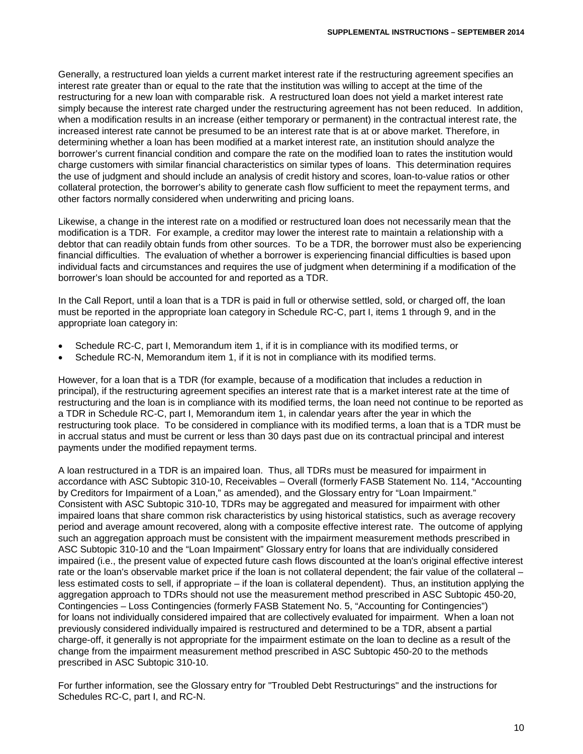Generally, a restructured loan yields a current market interest rate if the restructuring agreement specifies an interest rate greater than or equal to the rate that the institution was willing to accept at the time of the restructuring for a new loan with comparable risk. A restructured loan does not yield a market interest rate simply because the interest rate charged under the restructuring agreement has not been reduced. In addition, when a modification results in an increase (either temporary or permanent) in the contractual interest rate, the increased interest rate cannot be presumed to be an interest rate that is at or above market. Therefore, in determining whether a loan has been modified at a market interest rate, an institution should analyze the borrower's current financial condition and compare the rate on the modified loan to rates the institution would charge customers with similar financial characteristics on similar types of loans. This determination requires the use of judgment and should include an analysis of credit history and scores, loan-to-value ratios or other collateral protection, the borrower's ability to generate cash flow sufficient to meet the repayment terms, and other factors normally considered when underwriting and pricing loans.

Likewise, a change in the interest rate on a modified or restructured loan does not necessarily mean that the modification is a TDR. For example, a creditor may lower the interest rate to maintain a relationship with a debtor that can readily obtain funds from other sources. To be a TDR, the borrower must also be experiencing financial difficulties. The evaluation of whether a borrower is experiencing financial difficulties is based upon individual facts and circumstances and requires the use of judgment when determining if a modification of the borrower's loan should be accounted for and reported as a TDR.

In the Call Report, until a loan that is a TDR is paid in full or otherwise settled, sold, or charged off, the loan must be reported in the appropriate loan category in Schedule RC-C, part I, items 1 through 9, and in the appropriate loan category in:

- Schedule RC-C, part I, Memorandum item 1, if it is in compliance with its modified terms, or
- Schedule RC-N, Memorandum item 1, if it is not in compliance with its modified terms.

However, for a loan that is a TDR (for example, because of a modification that includes a reduction in principal), if the restructuring agreement specifies an interest rate that is a market interest rate at the time of restructuring and the loan is in compliance with its modified terms, the loan need not continue to be reported as a TDR in Schedule RC-C, part I, Memorandum item 1, in calendar years after the year in which the restructuring took place. To be considered in compliance with its modified terms, a loan that is a TDR must be in accrual status and must be current or less than 30 days past due on its contractual principal and interest payments under the modified repayment terms.

A loan restructured in a TDR is an impaired loan. Thus, all TDRs must be measured for impairment in accordance with ASC Subtopic 310-10, Receivables – Overall (formerly FASB Statement No. 114, "Accounting by Creditors for Impairment of a Loan," as amended), and the Glossary entry for "Loan Impairment." Consistent with ASC Subtopic 310-10, TDRs may be aggregated and measured for impairment with other impaired loans that share common risk characteristics by using historical statistics, such as average recovery period and average amount recovered, along with a composite effective interest rate. The outcome of applying such an aggregation approach must be consistent with the impairment measurement methods prescribed in ASC Subtopic 310-10 and the "Loan Impairment" Glossary entry for loans that are individually considered impaired (i.e., the present value of expected future cash flows discounted at the loan's original effective interest rate or the loan's observable market price if the loan is not collateral dependent; the fair value of the collateral – less estimated costs to sell, if appropriate – if the loan is collateral dependent). Thus, an institution applying the aggregation approach to TDRs should not use the measurement method prescribed in ASC Subtopic 450-20, Contingencies – Loss Contingencies (formerly FASB Statement No. 5, "Accounting for Contingencies") for loans not individually considered impaired that are collectively evaluated for impairment. When a loan not previously considered individually impaired is restructured and determined to be a TDR, absent a partial charge-off, it generally is not appropriate for the impairment estimate on the loan to decline as a result of the change from the impairment measurement method prescribed in ASC Subtopic 450-20 to the methods prescribed in ASC Subtopic 310-10.

For further information, see the Glossary entry for "Troubled Debt Restructurings" and the instructions for Schedules RC-C, part I, and RC-N.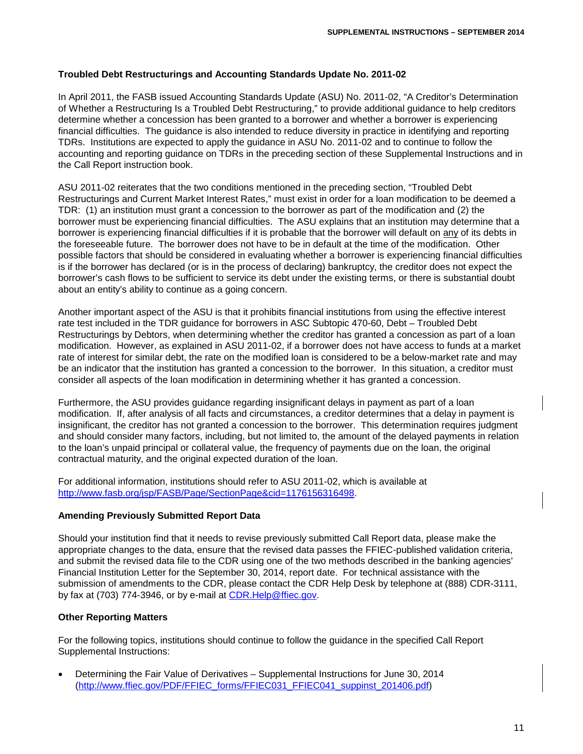#### **Troubled Debt Restructurings and Accounting Standards Update No. 2011-02**

In April 2011, the FASB issued Accounting Standards Update (ASU) No. 2011-02, "A Creditor's Determination of Whether a Restructuring Is a Troubled Debt Restructuring," to provide additional guidance to help creditors determine whether a concession has been granted to a borrower and whether a borrower is experiencing financial difficulties. The guidance is also intended to reduce diversity in practice in identifying and reporting TDRs. Institutions are expected to apply the guidance in ASU No. 2011-02 and to continue to follow the accounting and reporting guidance on TDRs in the preceding section of these Supplemental Instructions and in the Call Report instruction book.

ASU 2011-02 reiterates that the two conditions mentioned in the preceding section, "Troubled Debt Restructurings and Current Market Interest Rates," must exist in order for a loan modification to be deemed a TDR: (1) an institution must grant a concession to the borrower as part of the modification and (2) the borrower must be experiencing financial difficulties. The ASU explains that an institution may determine that a borrower is experiencing financial difficulties if it is probable that the borrower will default on any of its debts in the foreseeable future. The borrower does not have to be in default at the time of the modification. Other possible factors that should be considered in evaluating whether a borrower is experiencing financial difficulties is if the borrower has declared (or is in the process of declaring) bankruptcy, the creditor does not expect the borrower's cash flows to be sufficient to service its debt under the existing terms, or there is substantial doubt about an entity's ability to continue as a going concern.

Another important aspect of the ASU is that it prohibits financial institutions from using the effective interest rate test included in the TDR guidance for borrowers in ASC Subtopic 470-60, Debt – Troubled Debt Restructurings by Debtors, when determining whether the creditor has granted a concession as part of a loan modification. However, as explained in ASU 2011-02, if a borrower does not have access to funds at a market rate of interest for similar debt, the rate on the modified loan is considered to be a below-market rate and may be an indicator that the institution has granted a concession to the borrower. In this situation, a creditor must consider all aspects of the loan modification in determining whether it has granted a concession.

Furthermore, the ASU provides guidance regarding insignificant delays in payment as part of a loan modification. If, after analysis of all facts and circumstances, a creditor determines that a delay in payment is insignificant, the creditor has not granted a concession to the borrower. This determination requires judgment and should consider many factors, including, but not limited to, the amount of the delayed payments in relation to the loan's unpaid principal or collateral value, the frequency of payments due on the loan, the original contractual maturity, and the original expected duration of the loan.

For additional information, institutions should refer to ASU 2011-02, which is available at [http://www.fasb.org/jsp/FASB/Page/SectionPage&cid=1176156316498.](http://www.fasb.org/jsp/FASB/Page/SectionPage&cid=1176156316498)

#### **Amending Previously Submitted Report Data**

Should your institution find that it needs to revise previously submitted Call Report data, please make the appropriate changes to the data, ensure that the revised data passes the FFIEC-published validation criteria, and submit the revised data file to the CDR using one of the two methods described in the banking agencies' Financial Institution Letter for the September 30, 2014, report date. For technical assistance with the submission of amendments to the CDR, please contact the CDR Help Desk by telephone at (888) CDR-3111, by fax at (703) 774-3946, or by e-mail at CDR.Help@ffiec.gov.

#### **Other Reporting Matters**

For the following topics, institutions should continue to follow the guidance in the specified Call Report Supplemental Instructions:

• Determining the Fair Value of Derivatives – Supplemental Instructions for June 30, 2014 [\(http://www.ffiec.gov/PDF/FFIEC\\_forms/FFIEC031\\_FFIEC041\\_suppinst\\_201406.pdf\)](http://www.ffiec.gov/PDF/FFIEC_forms/FFIEC031_FFIEC041_suppinst_201406.pdf)